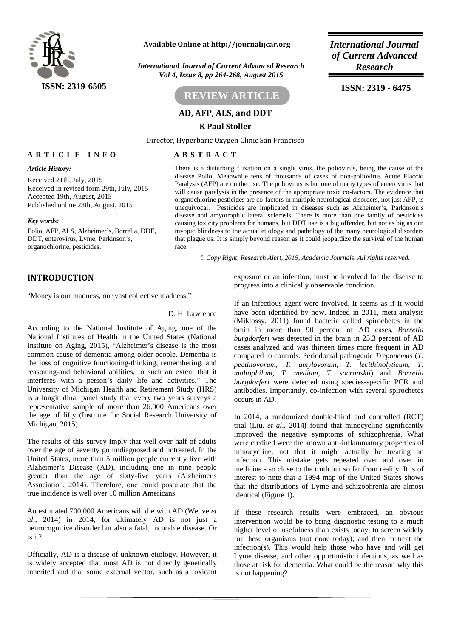

### **Available Online at http://journalijcar.org** *International Journal*

*International Journal of Current Advanced Research Research Vol 4, Issue 8, pp 264-268, August 2015*

# **REVIEW ARTICLE**

### **AD, AFP, ALS, and DDT**

**K Paul Stoller**

*of Current Advanced*

**ISSN: 2319 - 6475**

Director, Hyperbaric Oxygen Clinic San Francisco **AD, AFP, ALS, and DDT**<br> **A R T I C L E I N F O**<br> **A R T I C L E I N F O**<br> **A B S T R A C T**<br> **Article History:** There is a disturbing f ixation on a single virus, the poliovirus, being the cause of the disease Polio, Meanwhile tens of thousands of cases of non-poliovirus Acute Flaccid Paralysis (AFP) are on the rise. The poliovirus is but one of many types of enterovirus that will cause paralysis in the presence of the appropriate toxic co-factors. The evidence that organochlorine pesticides are co-factors in multiple neurological disorders, not just AFP, is unequivocal. Pesticides are implicated in diseases such as Alzheimer's, Parkinson's

disease and amyotrophic lateral sclerosis. There is more than one family of pesticides causing toxicity problems for humans, but DDT use is a big offender, but not as big as our myopic blindness to the actual etiology and pathology of the many neurological disorders that plague us. It is simply beyond reason as it could jeopardize the survival of the human race.

*© Copy Right, Research Alert, 2015, Academic Journals. All rights reserved.*

# **INTRODUCTION**

organochlorine, pesticides.

*Article History:*

*Key words:*

Received 21th, July, 2015

Accepted 19th, August, 2015 Published online 28th, August, 2015

Received in revised form 29th, July, 2015

Polio, AFP, ALS, Alzheimer's, Borrelia, DDE, DDT, enterovirus, Lyme, Parkinson's,

"Money is our madness, our vast collective madness."

D. H. Lawrence

According to the National Institute of Aging, one of the National Institutes of Health in the United States (National Institute on Aging, 2015), "Alzheimer's disease is the most common cause of dementia among older people. Dementia is the loss of cognitive functioning-thinking, remembering, and reasoning-and behavioral abilities, to such an extent that it interferes with a person's daily life and activities." The University of Michigan Health and Retirement Study (HRS) is a longitudinal panel study that every two years surveys a representative sample of more than 26,000 Americans over the age of fifty (Institute for Social Research University of Michigan, 2015).

The results of this survey imply that well over half of adults over the age of seventy go undiagnosed and untreated. In the United States, more than 5 million people currently live with Alzheimer's Disease (AD), including one in nine people greater than the age of sixty-five years (Alzheimer's Association, 2014). Therefore, one could postulate that the true incidence is well over 10 million Americans.

An estimated 700,000 Americans will die with AD (Weuve *et al*., 2014) in 2014, for ultimately AD is not just a neurocognitive disorder but also a fatal, incurable disease. Or is it?

Officially, AD is a disease of unknown etiology. However, it is widely accepted that most AD is not directly genetically inherited and that some external vector, such as a toxicant exposure or an infection, must be involved for the disease to progress into a clinically observable condition.

If an infectious agent were involved, it seems as if it would have been identified by now. Indeed in 2011, meta-analysis (Miklossy, 2011) found bacteria called spirochetes in the brain in more than 90 percent of AD cases. *Borrelia burgdorferi* was detected in the brain in 25.3 percent of AD cases analyzed and was thirteen times more frequent in AD compared to controls. Periodontal pathogenic *Treponemas* (*T. pectinovorum, T. amylovorum, T. lecithinolyticum, T. maltophilum, T. medium, T. socranskii*) and *Borrelia burgdorferi* were detected using species-specific PCR and antibodies. Importantly, co-infection with several spirochetes occurs in AD.

In 2014, a randomized double-blind and controlled (RCT) trial (Liu, *et al*., 2014**)** found that minocycline significantly improved the negative symptoms of schizophrenia. What were credited were the known anti-inflammatory properties of minocycline, not that it might actually be treating an infection. This mistake gets repeated over and over in medicine - so close to the truth but so far from reality. It is of interest to note that a 1994 map of the United States shows that the distributions of Lyme and schizophrenia are almost identical (Figure 1).

If these research results were embraced, an obvious intervention would be to bring diagnostic testing to a much higher level of usefulness than exists today; to screen widely for these organisms (not done today); and then to treat the infection(s). This would help those who have and will get Lyme disease, and other opportunistic infections, as well as those at risk for dementia. What could be the reason why this is not happening?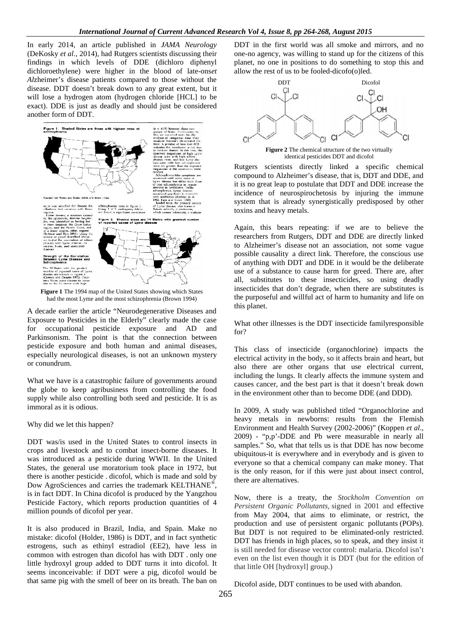In early 2014, an article published in *JAMA Neurology* Dl (DeKosky *et al*., 2014)*,* had Rutgers scientists discussing their (DeKosky *et al.*, 2014), had Rutgers scientists discussing their findings in which levels of DDE (dichloro diphenyl dichloroethylene) were higher in the blood of late-ons*et* dichloroethylene)*Al*zheimer's disease patients compared to those without the disease. DDT doesn't break down to any great extent, but it will lose a hydrogen atom (hydrogen chloride [HCL] to be Alzheimer's disease patients compared to those without the disease. DDT doesn't break down to any great extent, but it will lose a hydrogen atom (hydrogen chloride [HCL] to be exact). DDE is just as deadly and should just another form of DDT.



**Figure 1** The 1994 map of the United States showing which States had the most Lyme and the most schizophrenia (Brown 1994) had the most Lyme and the most schizophrenia (Brown 1994)

A decade earlier the article "Neurodegenerative Diseases and A decade earlier the article "Neurodegenerative Diseases and<br>Exposure to Pesticides in the Elderly" clearly made the case for occupational pesticide exposure and AD and Parkinsonism. The point is that the connection between pesticide exposure and both human and animal diseases, especially neurological diseases, is not an unknown mystery or conundrum. Sonism. The point is that the connection bide exposure and both human and animal dially neurological diseases, is not an unknown rundrum.<br>
we have is a catastrophic failure of governments<br>
obe to keep agribusiness from con

What we have is a catastrophic failure of governments around the globe to keep agribusiness from controlling the food  $\frac{d}{d}$ supply while also controlling both seed and pesticide. It is as immoral as it is odious.

Why did we let this happen?

DDT was/is used in the United States to control insects in DDT was/is used in the United States to control insects in crops and livestock and to combat insect-borne diseases. It was introduced as a pesticide during WWII. In the United States, the general use moratorium took place in 1972, but there is another pesticide . dicofol, which is made and sold by Dow AgroSciences and carries the trademark KELTHANE<sup>®</sup>, is in fact DDT. In China dicofol is produced by the Yangzhou Pesticide Factory, which reports production quantities of  $4\frac{1}{p_{eq}}$ million pounds of dicofol per year. was introduced as a pesticide during WWII. In the United<br>States, the general use moratorium took place in 1972, but<br>there is another pesticide . dicofol, which is made and sold by<br>Dow AgroSciences and carries the trademark In China dicofol is produced by the<br>ry, which reports production quant<br>of dicofol per year.<br>uced in Brazil, India, and Spain.<br>I (Holder, 1986) is DDT, and in fact

It is also produced in Brazil, India, and Spain. Make no mistake: dicofol (Holder, 1986) is DDT, and in fact synthetic estrogens, such as ethinyl estradiol (EE2), have less in common with estrogen than dicofol has with DDT . only one little hydroxyl group added to DDT turns it into dicofol. It seems inconceivable: if DDT were a pig, dicofol would be that same pig with the smell of beer on its breath. The ban on

DDT in the first world was all smoke and mirrors, and no one-no agency, was willing to stand up for the citizens of this planet, no one in positions to do something to stop this and allow the rest of us to be fooled-dicofo(o)led.



**Figure 2** The chemical structure of the two virtually identical pesticides DDT and dicofol identical pesticides DDT and dicofol

Rutgers scientists directly linked a specific chemical compound to Alzheimer's disease, that is, DDT and DDE, and it is no great leap to postulate that DDT and DDE increase the incidence of neurospirochetosis by injuring the immune system that is already synergistically predisposed by other toxins and heavy metals.

Again, this bears repeating: if we are to believe the researchers from Rutgers, DDT and DDE are directly linked to Alzheimer's disease not an association, not some vague possible causality a direct link. Therefore, the conscious use of anything with DDT and DDE in it would be the deliberate use of a substance to cause harm for greed. There are, after all, substitutes to these insecticides, so using deadly insecticides that don't degrade, when there are substitutes is the purposeful and willful act of harm to humanity and life on this planet. Example the minimum the interaction of painting the minimum term<br>
while all the simulations of the simulation of the simulation of the simulation of the simulation of the simulation of the simulation of the simulation of

What other illnesses is the DDT insecticide familyresponsible for?

This class of insecticide (organochlorine) impacts the electrical activity in the body, so it affects brain and heart, but also there are other organs that use electrical current, including the lungs. It clearly affects the immune system and causes cancer, and the best part is that it doesn't break down in the environment other than to become DDE (and DDD). rposeful and willful act of harm to humanity and life on<br>anet.<br>other illnesses is the DDT insecticide familyresponsible<br>class of insecticide (organochlorine) impacts the<br>cal activity in the body, so it affects brain and he

In 2009, A study was published titled "Organochlorine and heavy metals in newborns: results from the Flemish Environment and Health Survey (2002-2006)" (Koppen *et al.*, 2009) - "p,p'-DDE and Pb were measurable in nearly all samples." So, what that tells us is that DDE has now become ubiquitous-it is everywhere and in everybody and is given to everyone so that a chemical company can make money. That is the only reason, for if this were just about insect control, there are alternatives.  $2009$ ) - "p,p'-DDE and Pb were measurable in nearly all samples." So, what that tells us is that DDE has now become ubiquitous-it is everywhere and in everybody and is given to everyone so that a chemical company can mak

Now, there is a treaty, the *Stockholm Convention on Persistent Organic Pollutants,* signed in 2001 and effective from May 2004, that aims to eliminate, or restrict, the production and use of persistent organic pollutants (POPs). But DDT is not required to be eliminated-only restricted. DDT has friends in high places, so to speak, and they insist it is still needed for disease vector control: malaria. Dicofol isn't even on the list even though it is DDT (but for the edition of that little OH [hydroxyl] group.) even on the list even though it is DDT (but for the edition<br>that little OH [hydroxyl] group.)<br>Dicofol aside, DDT continues to be used with abandon. *Organic Pollutants*, signed in 2001 and effective 2004, that aims to eliminate, or restrict, the and use of persistent organic pollutants (POPs). is not required to be eliminated-only restricted. Triends in high places, s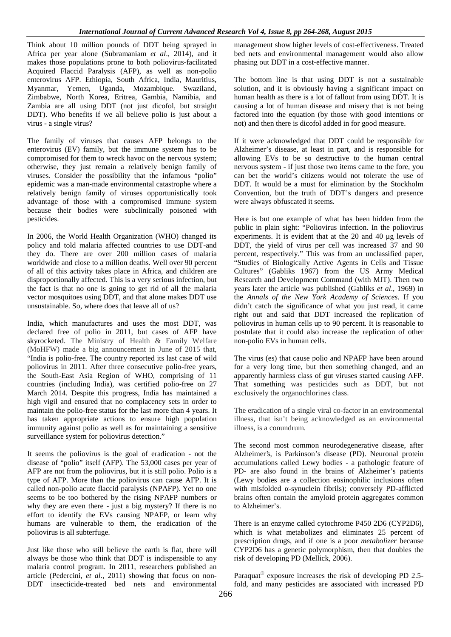Think about 10 million pounds of DDT being sprayed in Africa per year alone (Subramaniam *et al*., 2014), and it makes those populations prone to both poliovirus-facilitated Acquired Flaccid Paralysis (AFP), as well as non-polio enterovirus AFP. Ethiopia, South Africa, India, Mauritius, Myanmar, Yemen, Uganda, Mozambique. Swaziland, Zimbabwe, North Korea, Eritrea, Gambia, Namibia, and Zambia are all using DDT (not just dicofol, but straight DDT). Who benefits if we all believe polio is just about a virus - a single virus?

The family of viruses that causes AFP belongs to the enterovirus (EV) family, but the immune system has to be compromised for them to wreck havoc on the nervous system; otherwise, they just remain a relatively benign family of viruses. Consider the possibility that the infamous "polio" epidemic was a man-made environmental catastrophe where a relatively benign family of viruses opportunistically took advantage of those with a compromised immune system because their bodies were subclinically poisoned with pesticides.

In 2006, the World Health Organization (WHO) changed its policy and told malaria affected countries to use DDT-and they do. There are over 200 million cases of malaria worldwide and close to a million deaths. Well over 90 percent of all of this activity takes place in Africa, and children are disproportionally affected. This is a very serious infection, but the fact is that no one is going to get rid of all the malaria vector mosquitoes using DDT, and that alone makes DDT use unsustainable. So, where does that leave all of us?

India, which manufactures and uses the most DDT, was declared free of polio in 2011, but cases of AFP have skyrocketed. The Ministry of Health & Family Welfare (MoHFW) made a big announcement in June of 2015 that, "India is polio-free. The country reported its last case of wild poliovirus in 2011. After three consecutive polio-free years, the South-East Asia Region of WHO, comprising of 11 countries (including India), was certified polio-free on 27 March 2014. Despite this progress, India has maintained a high vigil and ensured that no complacency sets in order to maintain the polio-free status for the last more than 4 years. It has taken appropriate actions to ensure high population immunity against polio as well as for maintaining a sensitive surveillance system for poliovirus detection."

It seems the poliovirus is the goal of eradication - not the disease of "polio" itself (AFP). The 53,000 cases per year of AFP are not from the poliovirus, but it is still polio. Polio is a type of AFP. More than the poliovirus can cause AFP. It is called non-polio acute flaccid paralysis (NPAFP). Yet no one seems to be too bothered by the rising NPAFP numbers or why they are even there - just a big mystery? If there is no effort to identify the EVs causing NPAFP, or learn why humans are vulnerable to them, the eradication of the poliovirus is all subterfuge.

Just like those who still believe the earth is flat, there will always be those who think that DDT is indispensible to any malaria control program. In 2011, researchers published an article (Pedercini, *et al*., 2011) showing that focus on non- DDT insecticide-treated bed nets and environmental

management show higher levels of cost-effectiveness. Treated bed nets and environmental management would also allow phasing out DDT in a cost-effective manner.

The bottom line is that using DDT is not a sustainable solution, and it is obviously having a significant impact on human health as there is a lot of fallout from using DDT. It is causing a lot of human disease and misery that is not being factored into the equation (by those with good intentions or not) and then there is dicofol added in for good measure.

If it were acknowledged that DDT could be responsible for Alzheimer's disease, at least in part, and is responsible for allowing EVs to be so destructive to the human central nervous system - if just those two items came to the fore, you can bet the world's citizens would not tolerate the use of DDT. It would be a must for elimination by the Stockholm Convention, but the truth of DDT's dangers and presence were always obfuscated it seems.

Here is but one example of what has been hidden from the public in plain sight: "Poliovirus infection. In the poliovirus experiments. It is evident that at the 20 and 40 μg levels of DDT, the yield of virus per cell was increased 37 and 90 percent, respectively." This was from an unclassified paper, "Studies of Biologically Active Agents in Cells and Tissue Cultures" (Gabliks 1967) from the US Army Medical Research and Development Command (with MIT). Then two years later the article was published (Gabliks *et al*., 1969) in the *Annals of the New York Academy of Sciences.* If you didn't catch the significance of what you just read, it came right out and said that DDT increased the replication of poliovirus in human cells up to 90 percent. It is reasonable to postulate that it could also increase the replication of other non-polio EVs in human cells.

The virus (es) that cause polio and NPAFP have been around for a very long time, but then something changed, and an apparently harmless class of gut viruses started causing AFP. That something was pesticides such as DDT, but not exclusively the organochlorines class.

The eradication of a single viral co-factor in an environmental illness, that isn't being acknowledged as an environmental illness, is a conundrum.

The second most common neurodegenerative disease, after Alzheimer's, is Parkinson's disease (PD). Neuronal protein accumulations called Lewy bodies - a pathologic feature of PD- are also found in the brains of Alzheimer's patients (Lewy bodies are a collection eosinophilic inclusions often with misfolded -synuclein fibrils); conversely PD-afflicted brains often contain the amyloid protein aggregates common to Alzheimer's.

There is an enzyme called cytochrome P450 2D6 (CYP2D6), which is what metabolizes and eliminates 25 percent of prescription drugs, and if one is a poor *metabolizer* because CYP2D6 has a genetic polymorphism, then that doubles the risk of developing PD (Mellick, 2006).

Paraquat® exposure increases the risk of developing PD 2.5 fold, and many pesticides are associated with increased PD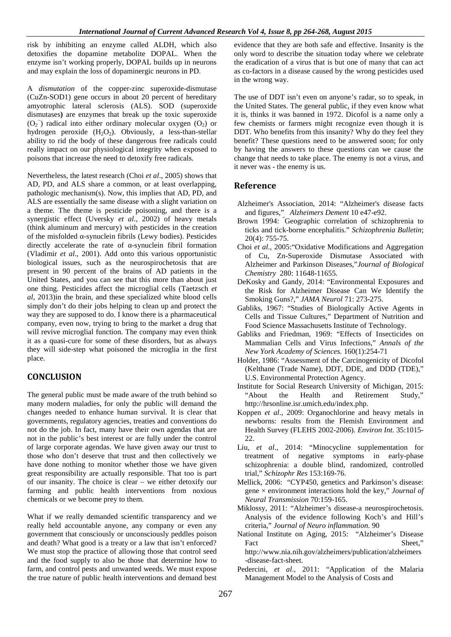risk by inhibiting an enzyme called ALDH, which also detoxifies the dopamine metabolite DOPAL. When the enzyme isn't working properly, DOPAL builds up in neurons and may explain the loss of dopaminergic neurons in PD.

A *dismutation* of the copper-zinc superoxide-dismutase (CuZn-SOD1) gene occurs in about 20 percent of hereditary amyotrophic lateral sclerosis (ALS). SOD (superoxide dismutases**)** are enzymes that break up the toxic superoxide  $(O_2^-)$  radical into either ordinary molecular oxygen  $(O_2)$  or hydrogen peroxide  $(H_2O_2)$ . Obviously, a less-than-stellar ability to rid the body of these dangerous free radicals could really impact on our physiological integrity when exposed to poisons that increase the need to detoxify free radicals.

Nevertheless, the latest research (Choi *et al*., 2005) shows that AD, PD, and ALS share a common, or at least overlapping, pathologic mechanism(s). Now, this implies that AD, PD, and ALS are essentially the same disease with a slight variation on a theme. The theme is pesticide poisoning, and there is a synergistic effect (Uversky *et al*., 2002) of heavy metals (think aluminum and mercury) with pesticides in the creation of the misfolded -synuclein fibrils (Lewy bodies). Pesticides directly accelerate the rate of -synuclein fibril formation (Vladimir *et al*., 2001). Add onto this various opportunistic biological issues, such as the neurospirochetosis that are present in 90 percent of the brains of AD patients in the United States, and you can see that this more than about just one thing. Pesticides affect the microglial cells (Taetzsch *et al*, 2013)in the brain, and these specialized white blood cells simply don't do their jobs helping to clean up and protect the way they are supposed to do. I know there is a pharmaceutical company, even now, trying to bring to the market a drug that will revive microglial function. The company may even think it as a quasi-cure for some of these disorders, but as always they will side-step what poisoned the microglia in the first place.

# **CONCLUSION**

The general public must be made aware of the truth behind so many modern maladies, for only the public will demand the changes needed to enhance human survival. It is clear that governments, regulatory agencies, treaties and conventions do not do the job. In fact, many have their own agendas that are not in the public's best interest or are fully under the control of large corporate agendas. We have given away our trust to those who don't deserve that trust and then collectively we have done nothing to monitor whether those we have given great responsibility are actually responsible. That too is part of our insanity. The choice is clear – we either detoxify our farming and public health interventions from noxious chemicals or we become prey to them.

What if we really demanded scientific transparency and we really held accountable anyone, any company or even any government that consciously or unconsciously peddles poison and death? What good is a treaty or a law that isn't enforced? We must stop the practice of allowing those that control seed and the food supply to also be those that determine how to farm, and control pests and unwanted weeds. We must expose the true nature of public health interventions and demand best evidence that they are both safe and effective. Insanity is the only word to describe the situation today where we celebrate the eradication of a virus that is but one of many that can act as co-factors in a disease caused by the wrong pesticides used in the wrong way.

The use of DDT isn't even on anyone's radar, so to speak, in the United States. The general public, if they even know what it is, thinks it was banned in 1972. Dicofol is a name only a few chemists or farmers might recognize even though it is DDT. Who benefits from this insanity? Why do they feel they benefit? These questions need to be answered soon; for only by having the answers to these questions can we cause the change that needs to take place. The enemy is not a virus, and it never was - the enemy is us.

### **Reference**

- Alzheimer's Association, 2014: "Alzheimer's disease facts and figures," *Alzheimers Dement* 10 e47-e92.
- Brown 1994: "Geographic correlation of schizophrenia to ticks and tick-borne encephalitis." *Schizophrenia Bulletin*; 20(4): 755-75.
- Choi *et al*., 2005:"Oxidative Modifications and Aggregation of Cu, Zn-Superoxide Dismutase Associated with Alzheimer and Parkinson Diseases,"*Journal of Biological Chemistry* 280: 11648-11655.
- DeKosky and Gandy, 2014: "Environmental Exposures and the Risk for Alzheimer Disease Can We Identify the Smoking Guns?," *JAMA Neurol* 71: 273-275.
- Gabliks, 1967: "Studies of Biologically Active Agents in Cells and Tissue Cultures," Department of Nutrition and Food Science Massachusetts Institute of Technology.
- Gabliks and Friedman, 1969: "Effects of Insecticides on Mammalian Cells and Virus Infections," *Annals of the New York Academy of Sciences.* 160(1):254-71
- Holder, 1986: "Assessment of the Carcinogenicity of Dicofol (Kelthane (Trade Name), DDT, DDE, and DDD (TDE)," U.S. Environmental Protection Agency.
- Institute for Social Research University of Michigan, 2015: "About the Health and Retirement Study," http://hrsonline.isr.umich.edu/index.php.
- Koppen *et al*., 2009: Organochlorine and heavy metals in newborns: results from the Flemish Environment and Health Survey (FLEHS 2002-2006). *Environ Int*. 35:1015- 22.
- Liu, *et al*., 2014: "Minocycline supplementation for treatment of negative symptoms in early-phase schizophrenia: a double blind, randomized, controlled trial," *Schizophr Res* 153:169-76.
- Mellick, 2006: "CYP450, genetics and Parkinson's disease: gene × environment interactions hold the key," *Journal of Neural Transmission* 70:159-165.
- Miklossy, 2011: "Alzheimer's disease-a neurospirochetosis. Analysis of the evidence following Koch's and Hill's criteria," *Journal of Neuro inflammation.* 90
- National Institute on Aging, 2015: "Alzheimer's Disease Fact Sheet," http://www.nia.nih.gov/alzheimers/publication/alzheimers -disease-fact-sheet.
- Pedercini, *et al*., 2011: "Application of the Malaria Management Model to the Analysis of Costs and